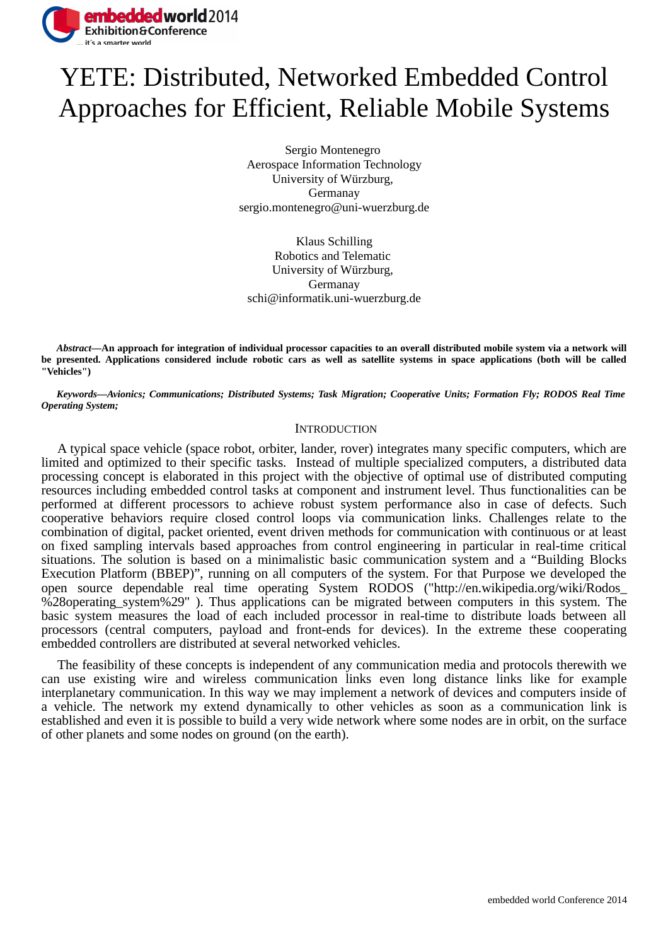

# YETE: Distributed, Networked Embedded Control Approaches for Efficient, Reliable Mobile Systems

Sergio Montenegro Aerospace Information Technology University of Würzburg, Germanay sergio.montenegro@uni-wuerzburg.de

Klaus Schilling Robotics and Telematic University of Würzburg, Germanay schi@informatik.uni-wuerzburg.de

*Abstract***—An approach for integration of individual processor capacities to an overall distributed mobile system via a network will be presented. Applications considered include robotic cars as well as satellite systems in space applications (both will be called "Vehicles")**

*Keywords—Avionics; Communications; Distributed Systems; Task Migration; Cooperative Units; Formation Fly; RODOS Real Time Operating System;* 

### **INTRODUCTION**

A typical space vehicle (space robot, orbiter, lander, rover) integrates many specific computers, which are limited and optimized to their specific tasks. Instead of multiple specialized computers, a distributed data processing concept is elaborated in this project with the objective of optimal use of distributed computing resources including embedded control tasks at component and instrument level. Thus functionalities can be performed at different processors to achieve robust system performance also in case of defects. Such cooperative behaviors require closed control loops via communication links. Challenges relate to the combination of digital, packet oriented, event driven methods for communication with continuous or at least on fixed sampling intervals based approaches from control engineering in particular in real-time critical situations. The solution is based on a minimalistic basic communication system and a "Building Blocks Execution Platform (BBEP)", running on all computers of the system. For that Purpose we developed the open source dependable real time operating System RODOS ("http://en.wikipedia.org/wiki/Rodos\_ %28operating\_system%29" ). Thus applications can be migrated between computers in this system. The basic system measures the load of each included processor in real-time to distribute loads between all processors (central computers, payload and front-ends for devices). In the extreme these cooperating embedded controllers are distributed at several networked vehicles.

The feasibility of these concepts is independent of any communication media and protocols therewith we can use existing wire and wireless communication links even long distance links like for example interplanetary communication. In this way we may implement a network of devices and computers inside of a vehicle. The network my extend dynamically to other vehicles as soon as a communication link is established and even it is possible to build a very wide network where some nodes are in orbit, on the surface of other planets and some nodes on ground (on the earth).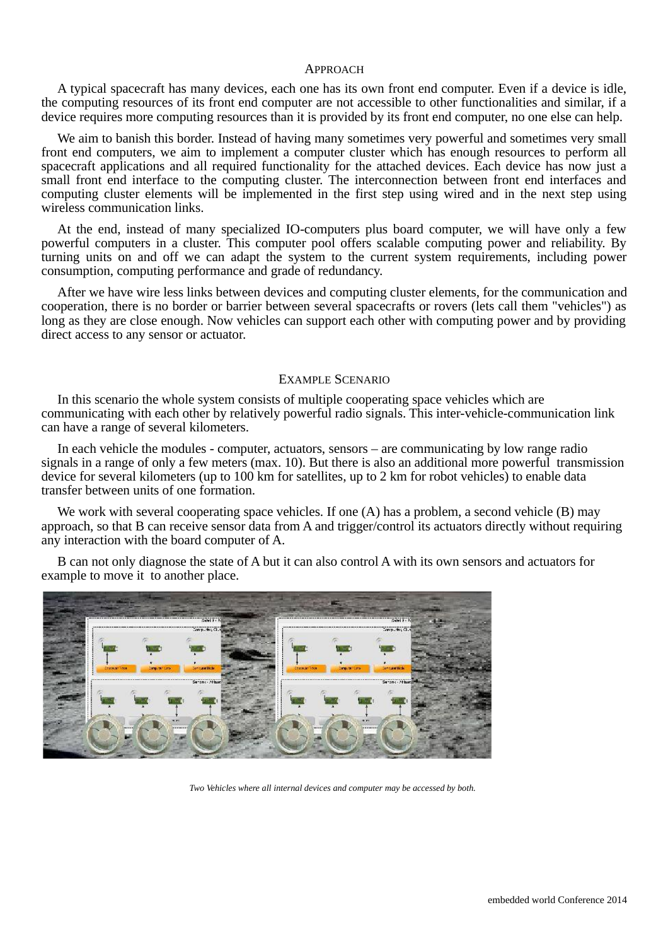#### APPROACH

A typical spacecraft has many devices, each one has its own front end computer. Even if a device is idle, the computing resources of its front end computer are not accessible to other functionalities and similar, if a device requires more computing resources than it is provided by its front end computer, no one else can help.

We aim to banish this border. Instead of having many sometimes very powerful and sometimes very small front end computers, we aim to implement a computer cluster which has enough resources to perform all spacecraft applications and all required functionality for the attached devices. Each device has now just a small front end interface to the computing cluster. The interconnection between front end interfaces and computing cluster elements will be implemented in the first step using wired and in the next step using wireless communication links.

At the end, instead of many specialized IO-computers plus board computer, we will have only a few powerful computers in a cluster. This computer pool offers scalable computing power and reliability. By turning units on and off we can adapt the system to the current system requirements, including power consumption, computing performance and grade of redundancy.

After we have wire less links between devices and computing cluster elements, for the communication and cooperation, there is no border or barrier between several spacecrafts or rovers (lets call them "vehicles") as long as they are close enough. Now vehicles can support each other with computing power and by providing direct access to any sensor or actuator.

#### EXAMPLE SCENARIO

In this scenario the whole system consists of multiple cooperating space vehicles which are communicating with each other by relatively powerful radio signals. This inter-vehicle-communication link can have a range of several kilometers.

In each vehicle the modules - computer, actuators, sensors – are communicating by low range radio signals in a range of only a few meters (max. 10). But there is also an additional more powerful transmission device for several kilometers (up to 100 km for satellites, up to 2 km for robot vehicles) to enable data transfer between units of one formation.

We work with several cooperating space vehicles. If one (A) has a problem, a second vehicle (B) may approach, so that B can receive sensor data from A and trigger/control its actuators directly without requiring any interaction with the board computer of A.

B can not only diagnose the state of A but it can also control A with its own sensors and actuators for example to move it to another place.



*Two Vehicles where all internal devices and computer may be accessed by both.*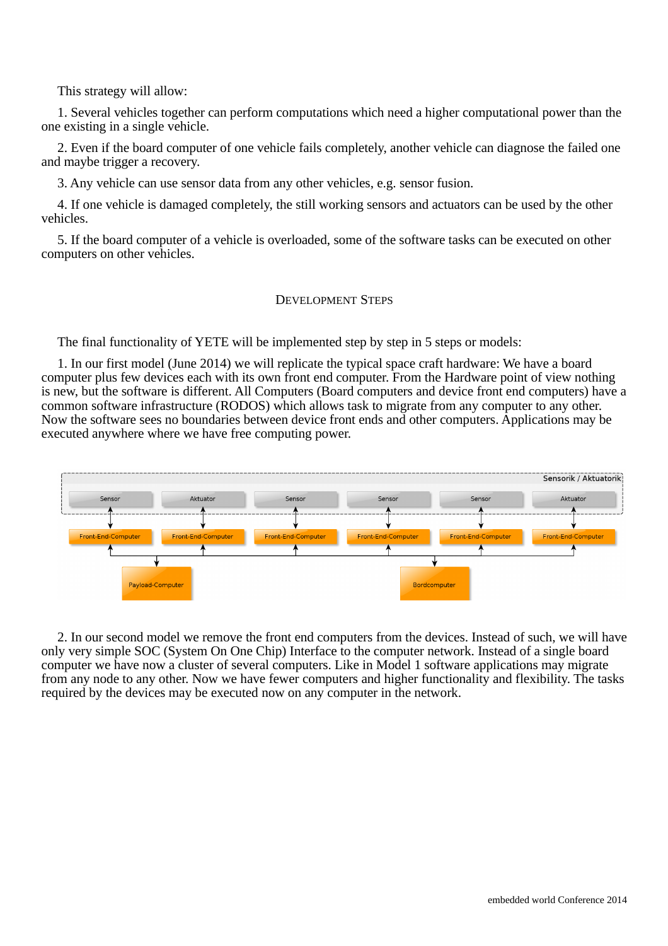This strategy will allow:

1. Several vehicles together can perform computations which need a higher computational power than the one existing in a single vehicle.

2. Even if the board computer of one vehicle fails completely, another vehicle can diagnose the failed one and maybe trigger a recovery.

3. Any vehicle can use sensor data from any other vehicles, e.g. sensor fusion.

4. If one vehicle is damaged completely, the still working sensors and actuators can be used by the other vehicles.

5. If the board computer of a vehicle is overloaded, some of the software tasks can be executed on other computers on other vehicles.

## DEVELOPMENT STEPS

The final functionality of YETE will be implemented step by step in 5 steps or models:

1. In our first model (June 2014) we will replicate the typical space craft hardware: We have a board computer plus few devices each with its own front end computer. From the Hardware point of view nothing is new, but the software is different. All Computers (Board computers and device front end computers) have a common software infrastructure (RODOS) which allows task to migrate from any computer to any other. Now the software sees no boundaries between device front ends and other computers. Applications may be executed anywhere where we have free computing power.



2. In our second model we remove the front end computers from the devices. Instead of such, we will have only very simple SOC (System On One Chip) Interface to the computer network. Instead of a single board computer we have now a cluster of several computers. Like in Model 1 software applications may migrate from any node to any other. Now we have fewer computers and higher functionality and flexibility. The tasks required by the devices may be executed now on any computer in the network.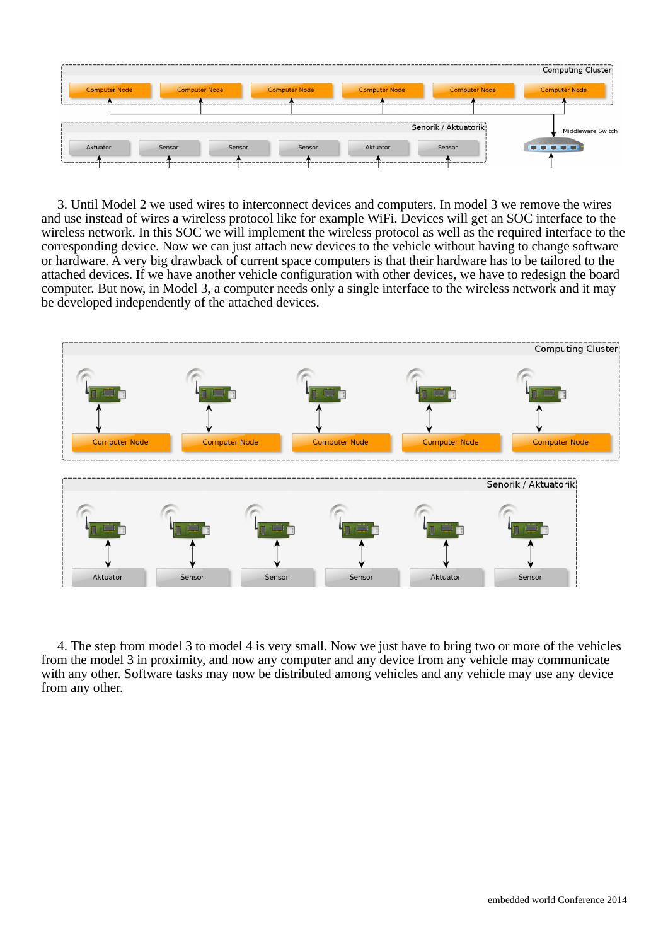

3. Until Model 2 we used wires to interconnect devices and computers. In model 3 we remove the wires and use instead of wires a wireless protocol like for example WiFi. Devices will get an SOC interface to the wireless network. In this SOC we will implement the wireless protocol as well as the required interface to the corresponding device. Now we can just attach new devices to the vehicle without having to change software or hardware. A very big drawback of current space computers is that their hardware has to be tailored to the attached devices. If we have another vehicle configuration with other devices, we have to redesign the board computer. But now, in Model 3, a computer needs only a single interface to the wireless network and it may be developed independently of the attached devices.



4. The step from model 3 to model 4 is very small. Now we just have to bring two or more of the vehicles from the model 3 in proximity, and now any computer and any device from any vehicle may communicate with any other. Software tasks may now be distributed among vehicles and any vehicle may use any device from any other.